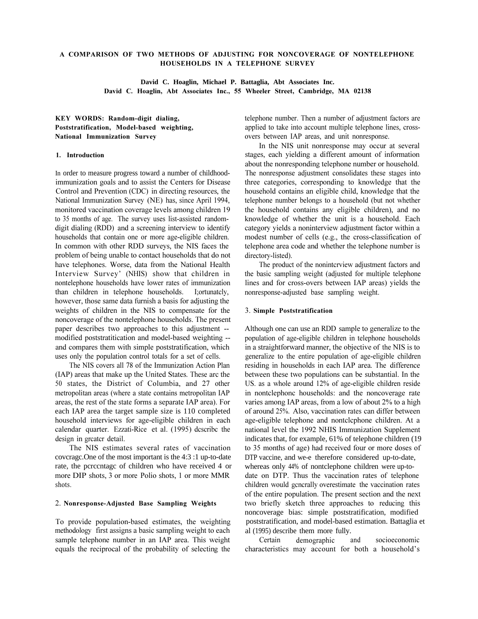## **A COMPARISON OF TWO METHODS OF ADJUSTING FOR NONCOVERAGE OF NONTELEPHONE HOUSEHOLDS IN A TELEPHONE SURVEY**

**David C. Hoaglin, Michael P. Battaglia, Abt Associates Inc. David C. Hoaglin, Abt Associates Inc., 55 Wheeler Street, Cambridge, MA 02138** 

# **KEY WORDS: Random-digit dialing, Poststratification, Model-based weighting, National Immunization Survey**

## **1. Introduction**

In order to measure progress toward a number of childhoodimmunization goals and to assist the Centers for Disease Control and Prevention (CDC) in directing resources, the National Immunization Survey (NE) has, since April 1994, monitored vaccination coverage levels among children 19 to 35 months of age. The survey uses list-assisted randomdigit dialing (RDD) and a screening interview to identify households that contain one or more age-eligible children. In common with other RDD surveys, the NIS faces the problem of being unable to contact households that do not have telephones. Worse, data from the National Health Interview Survey' (NHIS) show that children in nontelephone households have lower rates of immunization than children in telephone households. I;ortunatcly, however, those same data furnish a basis for adjusting the weights of children in the NIS to compensate for the noncoverage of the nontelephone households. The present paper describes two approaches to this adjustment modified poststratitication and model-based weighting and compares them with simple poststratification, which uses only the population control totals for a set of cells.

The NIS covers all 78 of the Immunization Action Plan (IAP) areas that make up the United States. These arc the 50 states, the District of Columbia, and 27 other metropolitan areas (where a state contains metropolitan IAP areas, the rest of the state forms a separate IAP area). For each IAP area the target sample size is 110 completed household interviews for age-eligible children in each calendar quarter. Ezzati-Rice et al. (1995) dcscribc the design in grcatcr detail.

The NIS estimates several rates of vaccination covcragc.One of the most important is the 4:3 :1 up-to-date rate, the pcrccntagc of children who have received 4 or more DIP shots, 3 or more Polio shots, 1 or more MMR shots.

### 2. **Nonresponse-Adjusted Base Sampling Weights**

To provide population-based estimates, the weighting methodology first assigns a basic sampling weight to each sample telephone number in an IAP area. This weight equals the reciprocal of the probability of selecting the telephone number. Then a number of adjustment factors are applied to take into account multiple telephone lines, crossovers between IAP areas, and unit nonresponse.

In the NIS unit nonresponse may occur at several stages, each yielding a different amount of information about the nonresponding telephone number or household. The nonresponse adjustment consolidates these stages into three categories, corresponding to knowledge that the household contains an eligible child, knowledge that the telephone number belongs to a household (but not whether the household contains any eligible children), and no knowledge of whether the unit is a household. Each category yields a noninterview adjustment factor within a modest number of cells (e.g., the cross-classification of telephone area code and whether the telephone number is directory-listed).

The product of the nonintcrview adjustment factors and the basic sampling weight (adjusted for multiple telephone lines and for cross-overs between IAP areas) yields the nonresponse-adjusted base sampling weight.

### 3. **Simple Poststratification**

Although one can use an RDD sample to generalize to the population of age-eligible children in telephone households in a straightforward manner, the objective of the NIS is to generalize to the entire population of age-eligible children residing in households in each IAP area. The difference between these two populations can be substantial. In the US. as a whole around 12% of age-eligible children reside in nontclephonc households: and the noncoverage rate varies among IAP areas, from a low of about 2% to a high of around 25%. Also, vaccination rates can differ between age-eligible telephone and nontclcphone children. At a national level the 1992 NHIS Immunization Supplement indicates that, for example, 61% of telephone children (19 to 35 months of age) had received four or more doses of DTP vaccine, and we-e therefore considered up-to-date, whereas only 44% of nontclephone children were up-todate on DTP. Thus the vaccination rates of telephone children would gcncrally overestimate the vaccination rates of the entire population. The present section and the next two briefly sketch three approaches to reducing this noncoverage bias: simple poststratification, modified poststratification, and model-based estimation. Battaglia et al (1995) describe them more fully.

Certain demographic and socioeconomic characteristics may account for both a household's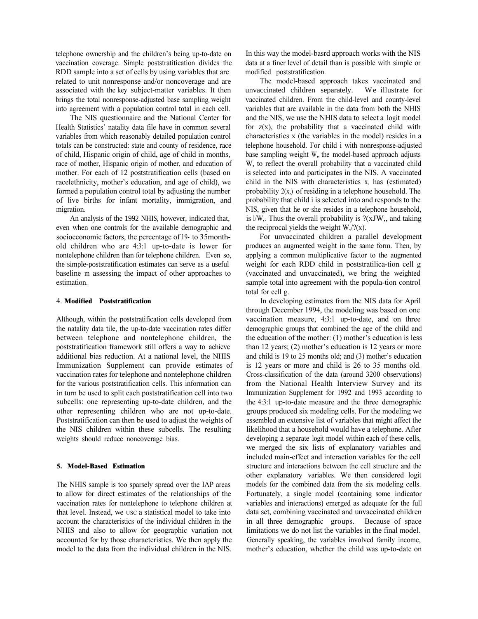telephone ownership and the children's being up-to-date on vaccination coverage. Simple poststratitication divides the RDD sample into a set of cells by using variables that are related to unit nonresponse and/or noncoverage and are associated with the key subject-matter variables. It then brings the total nonresponse-adjusted base sampling weight into agreement with a population control total in each cell.

The NIS questionnaire and the National Center for Health Statistics' natality data file have in common several variables from which reasonably detailed population control totals can be constructed: state and county of residence, race of child, Hispanic origin of child, age of child in months, race of mother, Hispanic origin of mother, and education of mother. For each of 12 poststratification cells (based on racelethnicity, mother's education, and age of child), we formed a population control total by adjusting the number of live births for infant mortality, immigration, and migration.

An analysis of the 1992 NHIS, however, indicated that, even when one controls for the available demographic and socioeconomic factors, the percentage of 19- to 35monthold children who are 4:3:1 up-to-date is lower for nontelephone children than for telephone children. Even so, the simple-poststratification estimates can serve as a useful baseline m assessing the impact of other approaches to estimation.

### 4. **Modified Poststratification**

Although, within the poststratification cells developed from the natality data tile, the up-to-date vaccination rates differ between telephone and nontelephone children, the poststratification framework still offers a way to achicvc additional bias reduction. At a national level, the NHIS Immunization Supplement can provide estimates of vaccination rates for telephone and nontelephone children for the various poststratification cells. This information can in turn be used to split each poststratification cell into two subcells: one representing up-to-date children, and the other representing children who are not up-to-date. Poststratification can then be used to adjust the weights of the NIS children within these subcells. The resulting weights should reduce noncoverage bias.

### **5. Model-Based Estimation**

The NHIS sample is too sparsely spread over the IAP areas to allow for direct estimates of the relationships of the vaccination rates for nontelephone to telephone children at that level. Instead, we USC a statistical model to take into account the characteristics of the individual children in the NHIS and also to allow for geographic variation not accounted for by those characteristics. We then apply the model to the data from the individual children in the NIS. In this way the model-basrd approach works with the NIS data at a finer level of detail than is possible with simple or modified poststratification.

The model-based approach takes vaccinated and unvaccinated children separately. We illustrate for vaccinated children. From the child-level and county-level variables that are available in the data from both the NHIS and the NIS, we use the NHIS data to select a logit model for  $z(x)$ , the probability that a vaccinated child with characteristics x (the variables in the model) resides in a telephone household. For child i with nonresponse-adjusted base sampling weight W,, the model-based approach adjusts W, to reflect the overall probability that a vaccinated child is selected into and participates in the NIS. A vaccinated child in the NIS with characteristics x, has (estimated) probability 2(x,) of residing in a telephone household. The probability that child i is selected into and responds to the NIS, given that he or she resides in a telephone household, is  $1/W$ ,. Thus the overall probability is  $?$ ( $xJW$ ,, and taking the reciprocal yields the weight  $W_1$ ,  $\frac{N}{2}(x)$ .

For unvaccinated children a parallel development produces an augmented weight in the same form. Then, by applying a common multiplicative factor to the augmented weight for each RDD child in poststratilica-tion cell g (vaccinated and unvaccinated), we bring the weighted sample total into agreement with the popula-tion control total for cell g.

In developing estimates from the NIS data for April through December 1994, the modeling was based on one vaccination measure, 4:3:1 up-to-date, and on three demographic groups that combined the age of the child and the education of the mother:  $(1)$  mother's education is less than  $12$  years;  $(2)$  mother's education is  $12$  years or more and child is  $19$  to  $25$  months old; and  $(3)$  mother's education is 12 years or more and child is 26 to 35 months old. Cross-classification of the data (around 3200 observations) from the National Health Interview Survey and its Immunization Supplement for 1992 and 1993 according to the 4:3:1 up-to-date measure and the three demographic groups produced six modeling cells. For the modeling we assembled an extensive list of variables that might affect the likelihood that a household would have a telephone. After developing a separate logit model within each of these cells, we merged the six lists of explanatory variables and included main-effect and interaction variables for the cell structure and interactions between the cell structure and the other explanatory variables. We then considered logit models for the combined data from the six modeling cells. Fortunately, a single model (containing some indicator variables and interactions) emerged as adequate for the full data set, combining vaccinated and unvaccinated children in all three demographic groups. Because of space limitations we do not list the variables in the final model. Generally speaking, the variables involved family income, mother's education, whether the child was up-to-date on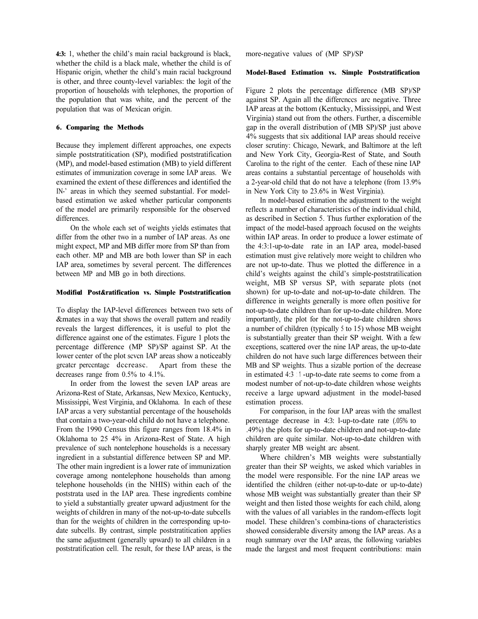4:3: 1, whether the child's main racial background is black, whether the child is a black male, whether the child is of Hispanic origin, whether the child's main racial background is other, and three county-level variables: the logit of the proportion of households with telephones, the proportion of the population that was white, and the percent of the population that was of Mexican origin.

### **6. Comparing the Methods**

Because they implement different approaches, one expects simple poststratitication (SP), modified poststratification (MP), and model-based estimation (MB) to yield different estimates of immunization coverage in some IAP areas. We examined the extent of these differences and identified the IN<sup>-</sup> areas in which they seemed substantial. For modelbased estimation we asked whether particular components of the model are primarily responsible for the observed differences.

On the whole each set of weights yields estimates that differ from the other two in a number of IAP areas. As one might expect, MP and MB differ more from SP than from each other. MP and MB are both lower than SP in each IAP area, sometimes by several percent. The differences between MP and MB go in both directions.

### **Modified Post&ratification vs. Simple Poststratification**

To display the IAP-level differences between two sets of &mates in a way that shows the overall pattern and readily reveals the largest differences, it is useful to plot the difference against one of the estimates. Figure 1 plots the percentage difference (MP SP)/SP against SP. At the lower center of the plot scvcn IAP areas show a noticeably grcatcr perccntagc dccreasc. Apart from these the decreases range from 0.5% to 4.1%.

In order from the lowest the seven IAP areas are Arizona-Rest of State, Arkansas, New Mexico, Kentucky, Mississippi, West Virginia, and Oklahoma. In each of these IAP arcas a very substantial percentage of the households that contain a two-year-old child do not have a telephone. From the 1990 Census this figure ranges from 18.4% in Oklahoma to 25 4% in Arizona-Rest of State. A high prevalence of such nontelephone households is a necessary ingredient in a substantial difference between SP and MP. The other main ingredient is a lower rate of immunization coverage among nontelephone households than among telephone households (in the NHIS) within each of the poststrata used in the IAP area. These ingredients combine to yield a substantially greater upward adjustment for the weights of children in many of the not-up-to-date subcells than for the weights of children in the corresponding up-todate subcells. By contrast, simple poststratitication applies the same adjustment (generally upward) to all children in a poststratification cell. The result, for these IAP areas, is the more-negative values of (MP SP)/SP

### **Model-Based Estimation vs. Simple Poststratification**

Figure 2 plots the percentage difference (MB SP)/SP against SP. Again all the differcnccs arc negative. Three IAP areas at the bottom (Kentucky, Mississippi, and West Virginia) stand out from the others. Further, a discernible gap in the overall distribution of (MB SP)/SP just above 4% suggests that six additional IAP areas should receive closer scrutiny: Chicago, Newark, and Baltimore at the left and New York City, Georgia-Rest of State, and South Carolina to the right of the center. Each of these nine IAP areas contains a substantial percentage of households with a 2-year-old child that do not have a telephone (from 13.9% in New York City to 23.6% in West Virginia).

In model-based estimation the adjustment to the weight reflects a number of characteristics of the individual child, as described in Section 5. Thus further exploration of the impact of the model-based approach focused on the weights within IAP areas. In order to produce a lower estimate of the 4:3:1-up-to-date rate in an IAP area, model-based estimation must give relatively more weight to children who are not up-to-date. Thus we plotted the difference in a child's weights against the child's simple-poststratilication weight, MB SP versus SP, with separate plots (not shown) for up-to-date and not-up-to-date children. The difference in weights generally is more often positive for not-up-to-date children than for up-to-date children. More importantly, the plot for the not-up-to-date children shows a number of children (typically 5 to 15) whose MB weight is substantially greater than their SP weight. With a few exceptions, scattered over the nine IAP areas, the up-to-date children do not have such large differences between their MB and SP weights. Thus a sizable portion of the decrease in estimated 4:3 : 1 -up-to-date rate seems to come from a modest number of not-up-to-date children whose weights receive a large upward adjustment in the model-based estimation process.

For comparison, in the four IAP areas with the smallest percentage decrease in 4:3: l-up-to-date rate (.05% to .49%) the plots for up-to-date children and not-up-to-date children are quite similar. Not-up-to-date children with sharply greater MB weight arc absent.

Where children's MB weights were substantially greater than their SP weights, we asked which variables in the model were responsible. For the nine IAP areas we identified the children (either not-up-to-date or up-to-date) whose MB weight was substantially greater than their SP weight and then listed those weights for each child, along with the values of all variables in the random-effects logit model. These children's combina-tions of characteristics showed considerable diversity among the IAP areas. As a rough summary over the IAP areas, the following variables made the largest and most frequent contributions: main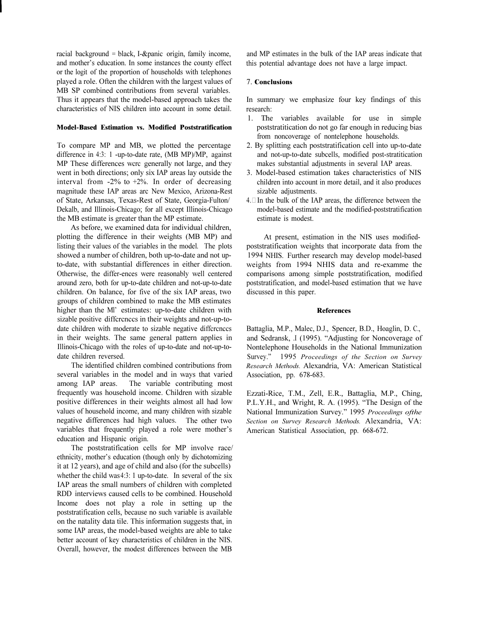racial background = black, I-&panic origin, family income, and mother's education. In some instances the county effect or the logit of the proportion of households with telephones played a role. Often the children with the largest values of MB SP combined contributions from several variables. Thus it appears that the model-based approach takes the characteristics of NIS children into account in some detail.

#### **Model-Based Estimation vs. Modified Poststratification**

To compare MP and MB, we plotted the percentage difference in 4:3: 1 -up-to-date rate, (MB MP)/MP, against MP These differences wcrc generally not large, and they went in both directions; only six IAP areas lay outside the interval from  $-2\%$  to  $+2\%$ . In order of decreasing magnitude these IAP areas arc New Mexico, Arizona-Rest of State, Arkansas, Texas-Rest of State, Georgia-Fulton/ Dekalb, and Illinois-Chicago; for all except Illinois-Chicago the MB estimate is greater than the MP estimate.

As before, we examined data for individual children, plotting the difference in their weights (MB MP) and listing their values of the variables in the model. The plots showed a number of children, both up-to-date and not upto-date, with substantial differences in either direction. Otherwise, the differ-ences were reasonably well centered around zero, both for up-to-date children and not-up-to-date children. On balance, for five of the six IAP areas, two groups of children combined to make the MB estimates higher than the Ml' estimates: up-to-date children with sizable positive diffcrcnccs in their weights and not-up-todate children with moderate to sizable negative differences in their weights. The same general pattern applies in Illinois-Chicago with the roles of up-to-date and not-up-todate children reversed.

The identified children combined contributions from several variables in the model and in ways that varied among IAP areas. The variable contributing most frequently was household income. Children with sizable positive differences in their weights almost all had low values of household income, and many children with sizable negative differences had high values. The other two variables that frequently played a role were mother's education and Hispanic origin.

The poststratification cells for MP involve race/ ethnicity, mother's education (though only by dichotomizing it at 12 years), and age of child and also (for the subcells) whether the child was 4:3: 1 up-to-date. In several of the six IAP areas the small numbers of children with completed RDD interviews caused cells to be combined. Household Income does not play a role in setting up the poststratification cells, because no such variable is available on the natality data tile. This information suggests that, in some IAP areas, the model-based weights are able to take better account of key characteristics of children in the NIS. Overall, however, the modest differences between the MB

and MP estimates in the bulk of the IAP areas indicate that this potential advantage does not have a large impact.

### 7. **Conclusions**

In summary we emphasize four key findings of this research:

- 1. The variables available for use in simple poststratitication do not go far enough in reducing bias from noncoverage of nontelephone households.
- 2. By splitting each poststratification cell into up-to-date and not-up-to-date subcells, modified post-stratitication makes substantial adjustments in several IAP areas.
- 3. Model-based estimation takes characteristics of NIS children into account in more detail, and it also produces sizable adjustments.
- $4. \Box$  In the bulk of the IAP areas, the difference between the model-based estimate and the modified-poststratification estimate is modest.

At present, estimation in the NIS uses modifiedpoststratification weights that incorporate data from the 1994 NHIS. Further research may develop model-based weights from 1994 NHIS data and re-examme the comparisons among simple poststratification, modified poststratification, and model-based estimation that we have discussed in this paper.

#### **References**

Battaglia, M.P., Malec, D.J., Spencer, B.D., Hoaglin, D. C., and Sedransk, I (1995). "Adjusting for Noncoverage of Nontelephone Households in the National Immunization Survey. 1995 *Proceedings of the Section on Survey Research Methods.* Alexandria, VA: American Statistical Association, pp. 678-683.

Ezzati-Rice, T.M., Zell, E.R., Battaglia, M.P., Ching, P.L.Y.H., and Wright, R. A. (1995). "The Design of the National Immunization Survey. 1995 *Proceedings ofthe Section on Survey Research Methods.* Alexandria, VA: American Statistical Association, pp. 668-672.